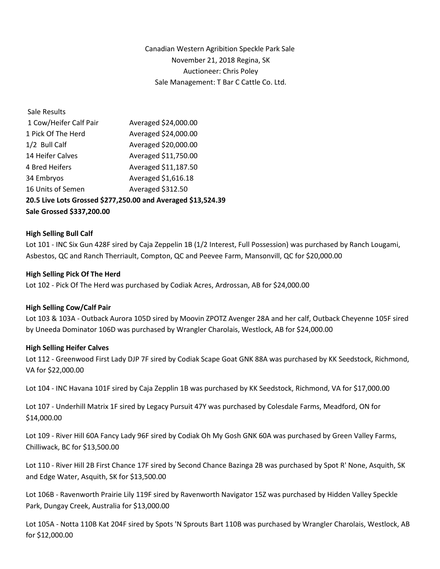Canadian Western Agribition Speckle Park Sale November 21, 2018 Regina, SK Auctioneer: Chris Poley Sale Management: T Bar C Cattle Co. Ltd.

| Sale Results                                                 |                      |
|--------------------------------------------------------------|----------------------|
| 1 Cow/Heifer Calf Pair                                       | Averaged \$24,000.00 |
| 1 Pick Of The Herd                                           | Averaged \$24,000.00 |
| 1/2 Bull Calf                                                | Averaged \$20,000.00 |
| 14 Heifer Calves                                             | Averaged \$11,750.00 |
| 4 Bred Heifers                                               | Averaged \$11,187.50 |
| 34 Embryos                                                   | Averaged \$1,616.18  |
| 16 Units of Semen                                            | Averaged \$312.50    |
| 20.5 Live Lots Grossed \$277,250.00 and Averaged \$13,524.39 |                      |
| Sale Grossed \$337,200.00                                    |                      |

# **High Selling Bull Calf**

Lot 101 - INC Six Gun 428F sired by Caja Zeppelin 1B (1/2 Interest, Full Possession) was purchased by Ranch Lougami, Asbestos, QC and Ranch Therriault, Compton, QC and Peevee Farm, Mansonvill, QC for \$20,000.00

# **High Selling Pick Of The Herd**

Lot 102 - Pick Of The Herd was purchased by Codiak Acres, Ardrossan, AB for \$24,000.00

### **High Selling Cow/Calf Pair**

Lot 103 & 103A - Outback Aurora 105D sired by Moovin ZPOTZ Avenger 28A and her calf, Outback Cheyenne 105F sired by Uneeda Dominator 106D was purchased by Wrangler Charolais, Westlock, AB for \$24,000.00

### **High Selling Heifer Calves**

Lot 112 - Greenwood First Lady DJP 7F sired by Codiak Scape Goat GNK 88A was purchased by KK Seedstock, Richmond, VA for \$22,000.00

Lot 104 - INC Havana 101F sired by Caja Zepplin 1B was purchased by KK Seedstock, Richmond, VA for \$17,000.00

Lot 107 - Underhill Matrix 1F sired by Legacy Pursuit 47Y was purchased by Colesdale Farms, Meadford, ON for \$14,000.00

Lot 109 - River Hill 60A Fancy Lady 96F sired by Codiak Oh My Gosh GNK 60A was purchased by Green Valley Farms, Chilliwack, BC for \$13,500.00

Lot 110 - River Hill 2B First Chance 17F sired by Second Chance Bazinga 2B was purchased by Spot R' None, Asquith, SK and Edge Water, Asquith, SK for \$13,500.00

Lot 106B - Ravenworth Prairie Lily 119F sired by Ravenworth Navigator 15Z was purchased by Hidden Valley Speckle Park, Dungay Creek, Australia for \$13,000.00

Lot 105A - Notta 110B Kat 204F sired by Spots 'N Sprouts Bart 110B was purchased by Wrangler Charolais, Westlock, AB for \$12,000.00